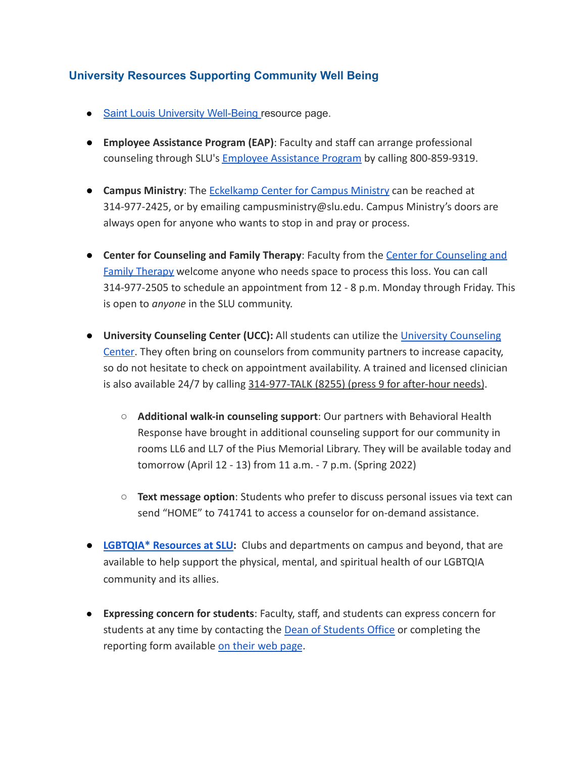## **University Resources Supporting Community Well Being**

- Saint Louis University Well-Being resource page.
- Employee Assistance Program (EAP): Faculty and staff can arrange professional counseling through SLU's Employee Assistance Program by calling 800-859-9319.
- Campus Ministry: The Eckelkamp Center for Campus Ministry can be reached at 314-977-2425, or by emailing campusministry@slu.edu. Campus Ministry's doors are always open for anyone who wants to stop in and pray or process.
- Center for Counseling and Family Therapy: Faculty from the Center for Counseling and **Family Therapy welcome anyone who needs space to process this loss. You can call** 314-977-2505 to schedule an appointment from 12 - 8 p.m. Monday through Friday. This is open to *anyone* in the SLU community.
- University Counseling Center (UCC): All students can utilize the University Counseling Center. They often bring on counselors from community partners to increase capacity, so do not hesitate to check on appointment availability. A trained and licensed clinician is also available 24/7 by calling 314-977-TALK (8255) (press 9 for after-hour needs).
	- $\circ$  Additional walk-in counseling support: Our partners with Behavioral Health Response have brought in additional counseling support for our community in rooms LL6 and LL7 of the Pius Memorial Library. They will be available today and tomorrow (April 12 - 13) from 11 a.m. - 7 p.m. (Spring 2022)
	- $\circ$  Text message option: Students who prefer to discuss personal issues via text can send "HOME" to 741741 to access a counselor for on-demand assistance.
- LGBTQIA\* Resources at SLU: Clubs and departments on campus and beyond, that are available to help support the physical, mental, and spiritual health of our LGBTQIA community and its allies.
- Expressing concern for students: Faculty, staff, and students can express concern for students at any time by contacting the **Dean of Students Office** or completing the reporting form available on their web page.